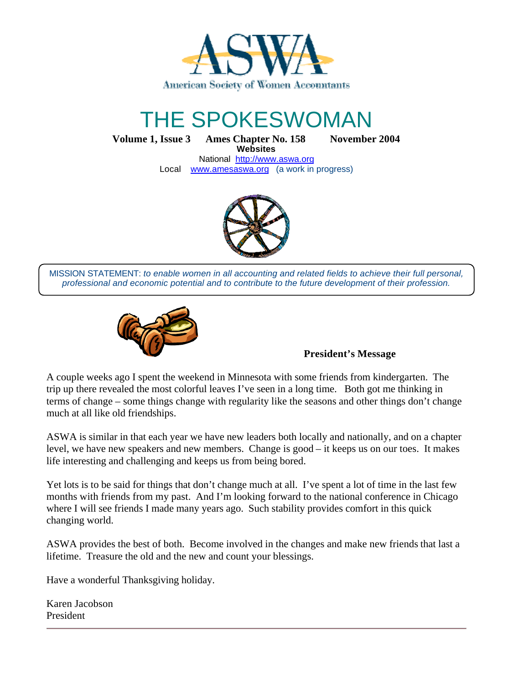

# THE SPOKESWOMAN

**Volume 1, Issue 3 Ames Chapter No. 158 November 2004 Websites**

National http://www.aswa.org Local www.amesaswa.org (a work in progress)



MISSION STATEMENT: *to enable women in all accounting and related fields to achieve their full personal, professional and economic potential and to contribute to the future development of their profession.*



#### **President's Message**

A couple weeks ago I spent the weekend in Minnesota with some friends from kindergarten. The trip up there revealed the most colorful leaves I've seen in a long time. Both got me thinking in terms of change – some things change with regularity like the seasons and other things don't change much at all like old friendships.

ASWA is similar in that each year we have new leaders both locally and nationally, and on a chapter level, we have new speakers and new members. Change is good – it keeps us on our toes. It makes life interesting and challenging and keeps us from being bored.

Yet lots is to be said for things that don't change much at all. I've spent a lot of time in the last few months with friends from my past. And I'm looking forward to the national conference in Chicago where I will see friends I made many years ago. Such stability provides comfort in this quick changing world.

ASWA provides the best of both. Become involved in the changes and make new friends that last a lifetime. Treasure the old and the new and count your blessings.

Have a wonderful Thanksgiving holiday.

Karen Jacobson President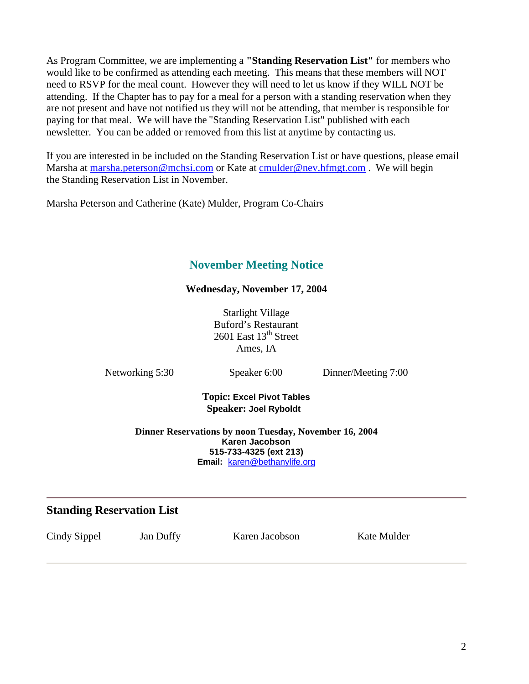As Program Committee, we are implementing a **"Standing Reservation List"** for members who would like to be confirmed as attending each meeting. This means that these members will NOT need to RSVP for the meal count. However they will need to let us know if they WILL NOT be attending. If the Chapter has to pay for a meal for a person with a standing reservation when they are not present and have not notified us they will not be attending, that member is responsible for paying for that meal. We will have the "Standing Reservation List" published with each newsletter. You can be added or removed from this list at anytime by contacting us.

If you are interested in be included on the Standing Reservation List or have questions, please email Marsha at marsha.peterson@mchsi.com or Kate at cmulder@nev.hfmgt.com. We will begin the Standing Reservation List in November.

Marsha Peterson and Catherine (Kate) Mulder, Program Co-Chairs

## **November Meeting Notice**

### **Wednesday, November 17, 2004**

Starlight Village Buford's Restaurant 2601 East 13<sup>th</sup> Street Ames, IA

Networking 5:30 Speaker 6:00 Dinner/Meeting 7:00

**Topic: Excel Pivot Tables Speaker: Joel Ryboldt** 

#### **Dinner Reservations by noon Tuesday, November 16, 2004 Karen Jacobson 515-733-4325 (ext 213) Email:** karen@bethanylife.org

### **Standing Reservation List**

Cindy Sippel Jan Duffy Karen Jacobson Kate Mulder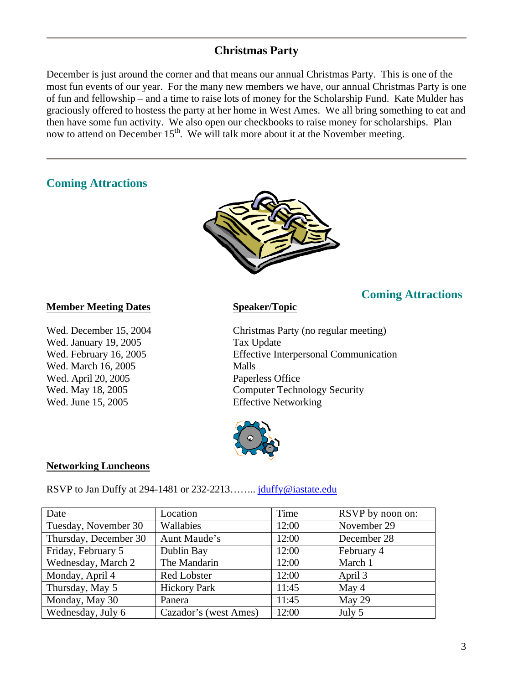### **Christmas Party**

December is just around the corner and that means our annual Christmas Party. This is one of the most fun events of our year. For the many new members we have, our annual Christmas Party is one of fun and fellowship – and a time to raise lots of money for the Scholarship Fund. Kate Mulder has graciously offered to hostess the party at her home in West Ames. We all bring something to eat and then have some fun activity. We also open our checkbooks to raise money for scholarships. Plan now to attend on December 15<sup>th</sup>. We will talk more about it at the November meeting.

### **Coming Attractions**



#### **Member Meeting Dates Speaker/Topic**

Wed. January 19, 2005 Tax Update Wed. March 16, 2005 Malls Wed. April 20, 2005 Paperless Office Wed. June 15, 2005 Effective Networking

Wed. December 15, 2004 Christmas Party (no regular meeting) Wed. February 16, 2005 Effective Interpersonal Communication Wed. May 18, 2005 Computer Technology Security

**Coming Attractions**



#### **Networking Luncheons**

RSVP to Jan Duffy at 294-1481 or 232-2213........ jduffy@iastate.edu

| Date                  | Location              | Time  | RSVP by noon on: |
|-----------------------|-----------------------|-------|------------------|
| Tuesday, November 30  | Wallabies             | 12:00 | November 29      |
| Thursday, December 30 | Aunt Maude's          | 12:00 | December 28      |
| Friday, February 5    | Dublin Bay            | 12:00 | February 4       |
| Wednesday, March 2    | The Mandarin          | 12:00 | March 1          |
| Monday, April 4       | <b>Red Lobster</b>    | 12:00 | April 3          |
| Thursday, May 5       | <b>Hickory Park</b>   | 11:45 | May 4            |
| Monday, May 30        | Panera                | 11:45 | May 29           |
| Wednesday, July 6     | Cazador's (west Ames) | 12:00 | July 5           |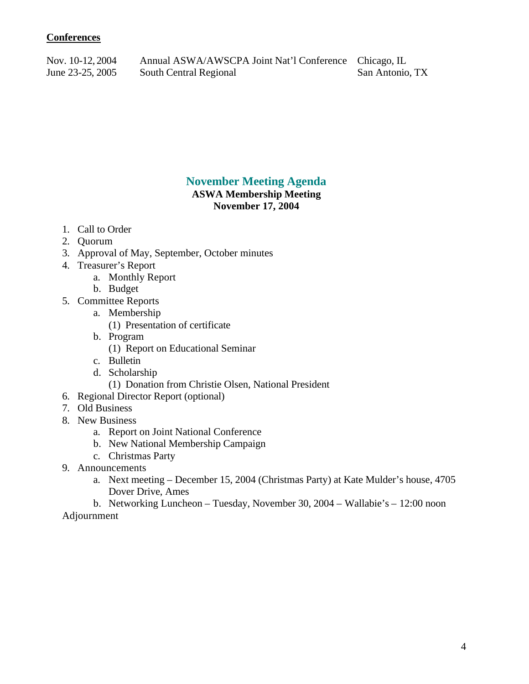#### **Conferences**

Nov. 10-12, 2004 Annual ASWA/AWSCPA Joint Nat'l Conference Chicago, IL June 23-25, 2005 South Central Regional San Antonio, TX

### **November Meeting Agenda**

#### **ASWA Membership Meeting November 17, 2004**

- 1. Call to Order
- 2. Quorum
- 3. Approval of May, September, October minutes
- 4. Treasurer's Report
	- a. Monthly Report
	- b. Budget
- 5. Committee Reports
	- a. Membership
		- (1) Presentation of certificate
	- b. Program
		- (1) Report on Educational Seminar
	- c. Bulletin
	- d. Scholarship
		- (1) Donation from Christie Olsen, National President
- 6. Regional Director Report (optional)
- 7. Old Business
- 8. New Business
	- a. Report on Joint National Conference
	- b. New National Membership Campaign
	- c. Christmas Party
- 9. Announcements
	- a. Next meeting December 15, 2004 (Christmas Party) at Kate Mulder's house, 4705 Dover Drive, Ames

b. Networking Luncheon – Tuesday, November 30, 2004 – Wallabie's – 12:00 noon Adjournment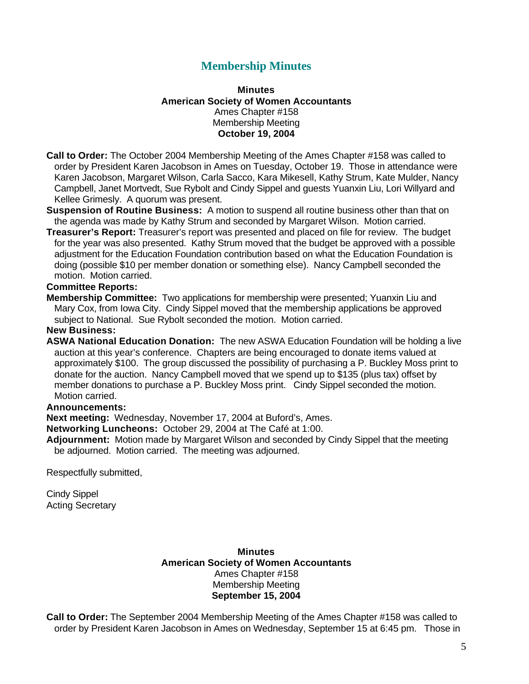### **Membership Minutes**

#### **Minutes American Society of Women Accountants** Ames Chapter #158 Membership Meeting **October 19, 2004**

- **Call to Order:** The October 2004 Membership Meeting of the Ames Chapter #158 was called to order by President Karen Jacobson in Ames on Tuesday, October 19. Those in attendance were Karen Jacobson, Margaret Wilson, Carla Sacco, Kara Mikesell, Kathy Strum, Kate Mulder, Nancy Campbell, Janet Mortvedt, Sue Rybolt and Cindy Sippel and guests Yuanxin Liu, Lori Willyard and Kellee Grimesly. A quorum was present.
- **Suspension of Routine Business:** A motion to suspend all routine business other than that on the agenda was made by Kathy Strum and seconded by Margaret Wilson. Motion carried.
- **Treasurer's Report:** Treasurer's report was presented and placed on file for review. The budget for the year was also presented. Kathy Strum moved that the budget be approved with a possible adjustment for the Education Foundation contribution based on what the Education Foundation is doing (possible \$10 per member donation or something else). Nancy Campbell seconded the motion. Motion carried.

#### **Committee Reports:**

**Membership Committee:** Two applications for membership were presented; Yuanxin Liu and Mary Cox, from Iowa City. Cindy Sippel moved that the membership applications be approved subject to National. Sue Rybolt seconded the motion. Motion carried.

#### **New Business:**

**ASWA National Education Donation:** The new ASWA Education Foundation will be holding a live auction at this year's conference. Chapters are being encouraged to donate items valued at approximately \$100. The group discussed the possibility of purchasing a P. Buckley Moss print to donate for the auction. Nancy Campbell moved that we spend up to \$135 (plus tax) offset by member donations to purchase a P. Buckley Moss print. Cindy Sippel seconded the motion. Motion carried.

#### **Announcements:**

**Next meeting:** Wednesday, November 17, 2004 at Buford's, Ames.

**Networking Luncheons:** October 29, 2004 at The Café at 1:00.

**Adjournment:** Motion made by Margaret Wilson and seconded by Cindy Sippel that the meeting be adjourned. Motion carried. The meeting was adjourned.

Respectfully submitted,

Cindy Sippel Acting Secretary

#### **Minutes American Society of Women Accountants** Ames Chapter #158 Membership Meeting **September 15, 2004**

**Call to Order:** The September 2004 Membership Meeting of the Ames Chapter #158 was called to order by President Karen Jacobson in Ames on Wednesday, September 15 at 6:45 pm. Those in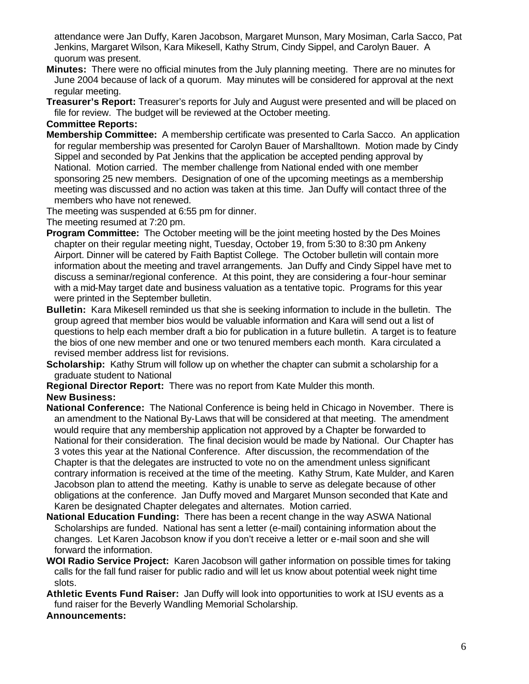attendance were Jan Duffy, Karen Jacobson, Margaret Munson, Mary Mosiman, Carla Sacco, Pat Jenkins, Margaret Wilson, Kara Mikesell, Kathy Strum, Cindy Sippel, and Carolyn Bauer. A quorum was present.

- **Minutes:** There were no official minutes from the July planning meeting. There are no minutes for June 2004 because of lack of a quorum. May minutes will be considered for approval at the next regular meeting.
- **Treasurer's Report:** Treasurer's reports for July and August were presented and will be placed on file for review. The budget will be reviewed at the October meeting.

#### **Committee Reports:**

- **Membership Committee:** A membership certificate was presented to Carla Sacco. An application for regular membership was presented for Carolyn Bauer of Marshalltown. Motion made by Cindy Sippel and seconded by Pat Jenkins that the application be accepted pending approval by National. Motion carried. The member challenge from National ended with one member sponsoring 25 new members. Designation of one of the upcoming meetings as a membership meeting was discussed and no action was taken at this time. Jan Duffy will contact three of the members who have not renewed.
- The meeting was suspended at 6:55 pm for dinner.

The meeting resumed at 7:20 pm.

- **Program Committee:** The October meeting will be the joint meeting hosted by the Des Moines chapter on their regular meeting night, Tuesday, October 19, from 5:30 to 8:30 pm Ankeny Airport. Dinner will be catered by Faith Baptist College. The October bulletin will contain more information about the meeting and travel arrangements. Jan Duffy and Cindy Sippel have met to discuss a seminar/regional conference. At this point, they are considering a four-hour seminar with a mid-May target date and business valuation as a tentative topic. Programs for this year were printed in the September bulletin.
- **Bulletin:** Kara Mikesell reminded us that she is seeking information to include in the bulletin. The group agreed that member bios would be valuable information and Kara will send out a list of questions to help each member draft a bio for publication in a future bulletin. A target is to feature the bios of one new member and one or two tenured members each month. Kara circulated a revised member address list for revisions.
- **Scholarship:** Kathy Strum will follow up on whether the chapter can submit a scholarship for a graduate student to National
- **Regional Director Report:** There was no report from Kate Mulder this month.

#### **New Business:**

- **National Conference:** The National Conference is being held in Chicago in November. There is an amendment to the National By-Laws that will be considered at that meeting. The amendment would require that any membership application not approved by a Chapter be forwarded to National for their consideration. The final decision would be made by National. Our Chapter has 3 votes this year at the National Conference. After discussion, the recommendation of the Chapter is that the delegates are instructed to vote no on the amendment unless significant contrary information is received at the time of the meeting. Kathy Strum, Kate Mulder, and Karen Jacobson plan to attend the meeting. Kathy is unable to serve as delegate because of other obligations at the conference. Jan Duffy moved and Margaret Munson seconded that Kate and Karen be designated Chapter delegates and alternates. Motion carried.
- **National Education Funding:** There has been a recent change in the way ASWA National Scholarships are funded. National has sent a letter (e-mail) containing information about the changes. Let Karen Jacobson know if you don't receive a letter or e-mail soon and she will forward the information.
- **WOI Radio Service Project:** Karen Jacobson will gather information on possible times for taking calls for the fall fund raiser for public radio and will let us know about potential week night time slots.
- **Athletic Events Fund Raiser:** Jan Duffy will look into opportunities to work at ISU events as a fund raiser for the Beverly Wandling Memorial Scholarship.

#### **Announcements:**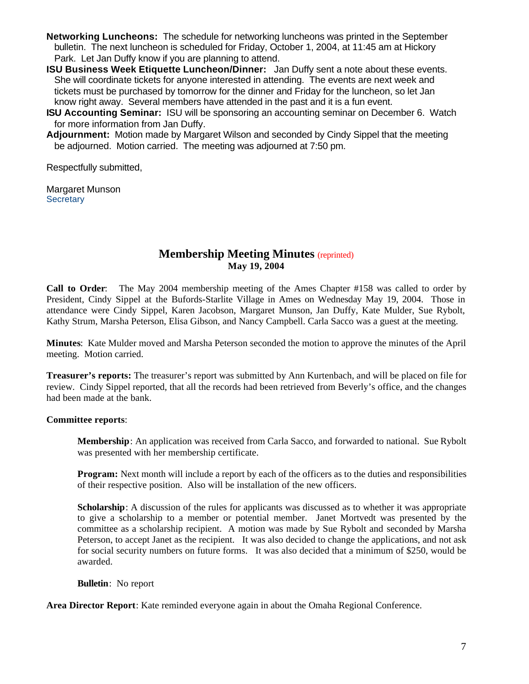- **Networking Luncheons:** The schedule for networking luncheons was printed in the September bulletin. The next luncheon is scheduled for Friday, October 1, 2004, at 11:45 am at Hickory Park. Let Jan Duffy know if you are planning to attend.
- **ISU Business Week Etiquette Luncheon/Dinner:** Jan Duffy sent a note about these events. She will coordinate tickets for anyone interested in attending. The events are next week and tickets must be purchased by tomorrow for the dinner and Friday for the luncheon, so let Jan know right away. Several members have attended in the past and it is a fun event.
- **ISU Accounting Seminar:** ISU will be sponsoring an accounting seminar on December 6. Watch for more information from Jan Duffy.
- **Adjournment:** Motion made by Margaret Wilson and seconded by Cindy Sippel that the meeting be adjourned. Motion carried. The meeting was adjourned at 7:50 pm.

Respectfully submitted,

Margaret Munson **Secretary** 

#### **Membership Meeting Minutes** (reprinted) **May 19, 2004**

**Call to Order**: The May 2004 membership meeting of the Ames Chapter #158 was called to order by President, Cindy Sippel at the Bufords-Starlite Village in Ames on Wednesday May 19, 2004. Those in attendance were Cindy Sippel, Karen Jacobson, Margaret Munson, Jan Duffy, Kate Mulder, Sue Rybolt, Kathy Strum, Marsha Peterson, Elisa Gibson, and Nancy Campbell. Carla Sacco was a guest at the meeting.

**Minutes**: Kate Mulder moved and Marsha Peterson seconded the motion to approve the minutes of the April meeting. Motion carried.

**Treasurer's reports:** The treasurer's report was submitted by Ann Kurtenbach, and will be placed on file for review. Cindy Sippel reported, that all the records had been retrieved from Beverly's office, and the changes had been made at the bank.

#### **Committee reports**:

**Membership**: An application was received from Carla Sacco, and forwarded to national. Sue Rybolt was presented with her membership certificate.

**Program:** Next month will include a report by each of the officers as to the duties and responsibilities of their respective position. Also will be installation of the new officers.

**Scholarship**: A discussion of the rules for applicants was discussed as to whether it was appropriate to give a scholarship to a member or potential member. Janet Mortvedt was presented by the committee as a scholarship recipient. A motion was made by Sue Rybolt and seconded by Marsha Peterson, to accept Janet as the recipient. It was also decided to change the applications, and not ask for social security numbers on future forms. It was also decided that a minimum of \$250, would be awarded.

**Bulletin**: No report

Area Director Report: Kate reminded everyone again in about the Omaha Regional Conference.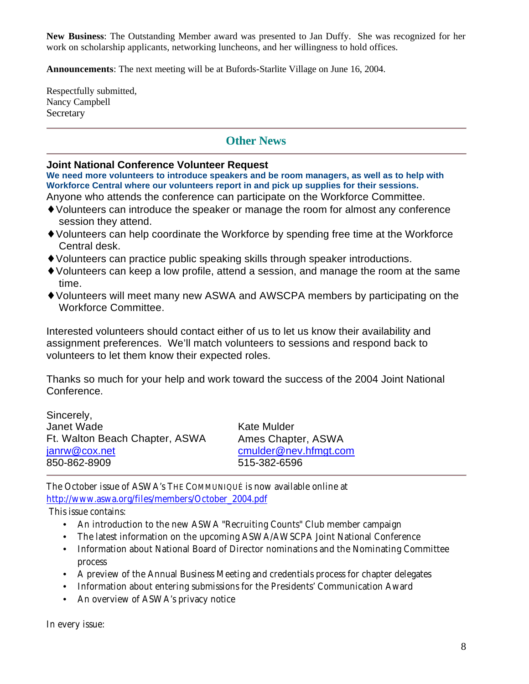**New Business**: The Outstanding Member award was presented to Jan Duffy. She was recognized for her work on scholarship applicants, networking luncheons, and her willingness to hold offices.

**Announcements**: The next meeting will be at Bufords-Starlite Village on June 16, 2004.

Respectfully submitted, Nancy Campbell **Secretary** 

### **Other News**

#### **Joint National Conference Volunteer Request**

**We need more volunteers to introduce speakers and be room managers, as well as to help with Workforce Central where our volunteers report in and pick up supplies for their sessions.** 

- Anyone who attends the conference can participate on the Workforce Committee.
- ♦ Volunteers can introduce the speaker or manage the room for almost any conference session they attend.
- ♦ Volunteers can help coordinate the Workforce by spending free time at the Workforce Central desk.
- ♦ Volunteers can practice public speaking skills through speaker introductions.
- ♦ Volunteers can keep a low profile, attend a session, and manage the room at the same time.
- ♦ Volunteers will meet many new ASWA and AWSCPA members by participating on the Workforce Committee.

Interested volunteers should contact either of us to let us know their availability and assignment preferences. We'll match volunteers to sessions and respond back to volunteers to let them know their expected roles.

Thanks so much for your help and work toward the success of the 2004 Joint National Conference.

| Sincerely,                     |                       |  |
|--------------------------------|-----------------------|--|
| Janet Wade                     | Kate Mulder           |  |
| Ft. Walton Beach Chapter, ASWA | Ames Chapter, ASWA    |  |
| janrw@cox.net                  | cmulder@nev.hfmgt.com |  |
| 850-862-8909                   | 515-382-6596          |  |

The October issue of ASWA's THE COMMUNIQUÉ is now available online at http://www.aswa.org/files/members/October\_2004.pdf

This issue contains:

- An introduction to the new ASWA "Recruiting Counts" Club member campaign
- The latest information on the upcoming ASWA/AWSCPA Joint National Conference
- Information about National Board of Director nominations and the Nominating Committee process
- A preview of the Annual Business Meeting and credentials process for chapter delegates
- Information about entering submissions for the Presidents' Communication Award
- An overview of ASWA's privacy notice

In every issue: